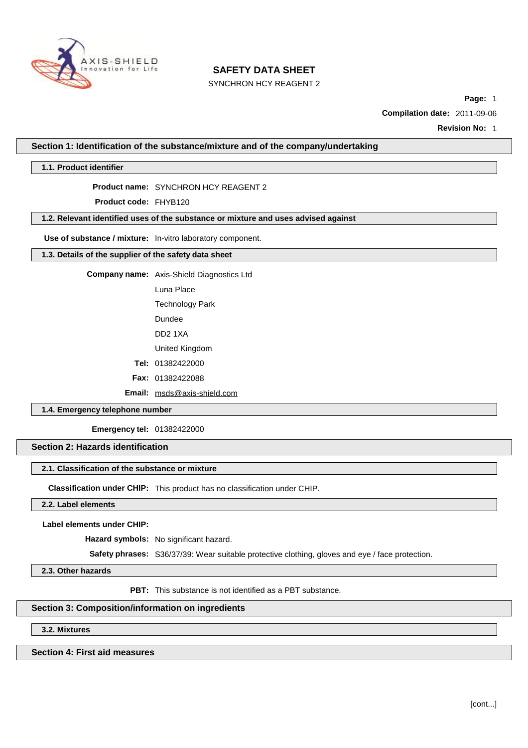

SYNCHRON HCY REAGENT 2

**Page:** 1

**Compilation date:** 2011-09-06

**Revision No:** 1

**Section 1: Identification of the substance/mixture and of the company/undertaking**

**1.1. Product identifier**

#### **Product name:** SYNCHRON HCY REAGENT 2

**Product code:** FHYB120

## **1.2. Relevant identified uses of the substance or mixture and uses advised against**

**Use of substance / mixture:** In-vitro laboratory component.

## **1.3. Details of the supplier of the safety data sheet**

**Company name:** Axis-Shield Diagnostics Ltd

Luna Place

Technology Park

Dundee

DD2 1XA

United Kingdom

**Tel:** 01382422000

**Fax:** 01382422088

**Email:** [msds@axis-shield.com](mailto:msds@axis-shield.com)

### **1.4. Emergency telephone number**

**Emergency tel:** 01382422000

### **Section 2: Hazards identification**

#### **2.1. Classification of the substance or mixture**

**Classification under CHIP:** This product has no classification under CHIP.

**2.2. Label elements**

**Label elements under CHIP:**

**Hazard symbols:** No significant hazard.

**Safety phrases:** S36/37/39: Wear suitable protective clothing, gloves and eye / face protection.

**2.3. Other hazards**

**PBT:** This substance is not identified as a PBT substance.

### **Section 3: Composition/information on ingredients**

**3.2. Mixtures**

### **Section 4: First aid measures**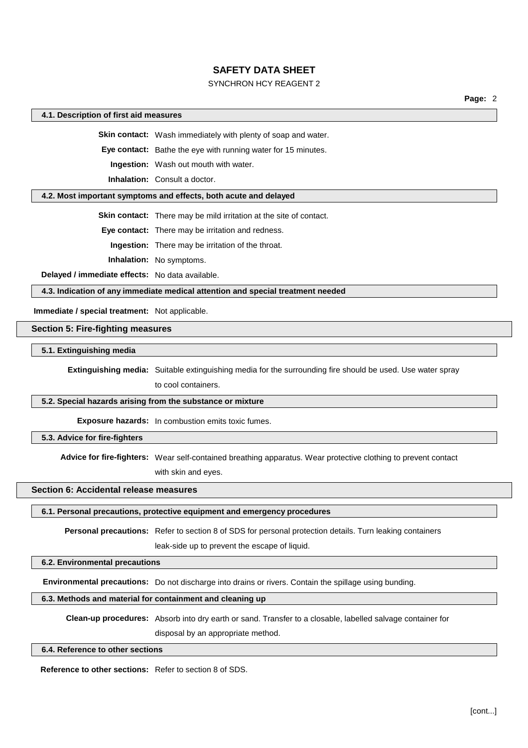## SYNCHRON HCY REAGENT 2

**Page:** 2

### **4.1. Description of first aid measures**

**Skin contact:** Wash immediately with plenty of soap and water.

**Eye contact:** Bathe the eye with running water for 15 minutes.

**Ingestion:** Wash out mouth with water.

**Inhalation:** Consult a doctor.

#### **4.2. Most important symptoms and effects, both acute and delayed**

**Skin contact:** There may be mild irritation at the site of contact.

**Eye contact:** There may be irritation and redness.

**Ingestion:** There may be irritation of the throat.

**Inhalation:** No symptoms.

**Delayed / immediate effects:** No data available.

**4.3. Indication of any immediate medical attention and special treatment needed**

**Immediate / special treatment:** Not applicable.

### **Section 5: Fire-fighting measures**

### **5.1. Extinguishing media**

**Extinguishing media:** Suitable extinguishing media for the surrounding fire should be used. Use water spray to cool containers.

#### **5.2. Special hazards arising from the substance or mixture**

**Exposure hazards:** In combustion emits toxic fumes.

**5.3. Advice for fire-fighters**

**Advice for fire-fighters:** Wear self-contained breathing apparatus. Wear protective clothing to prevent contact

with skin and eyes.

### **Section 6: Accidental release measures**

**6.1. Personal precautions, protective equipment and emergency procedures**

**Personal precautions:** Refer to section 8 of SDS for personal protection details. Turn leaking containers

leak-side up to prevent the escape of liquid.

### **6.2. Environmental precautions**

**Environmental precautions:** Do not discharge into drains or rivers. Contain the spillage using bunding.

## **6.3. Methods and material for containment and cleaning up**

**Clean-up procedures:** Absorb into dry earth or sand. Transfer to a closable, labelled salvage container for disposal by an appropriate method.

#### **6.4. Reference to other sections**

**Reference to other sections:** Refer to section 8 of SDS.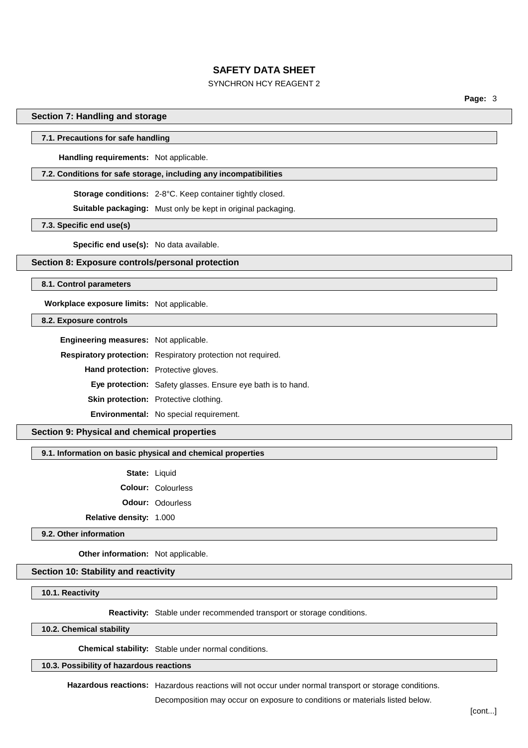## SYNCHRON HCY REAGENT 2

**Page:** 3

### **Section 7: Handling and storage**

#### **7.1. Precautions for safe handling**

**Handling requirements:** Not applicable.

#### **7.2. Conditions for safe storage, including any incompatibilities**

**Storage conditions:** 2-8°C. Keep container tightly closed.

**Suitable packaging:** Must only be kept in original packaging.

**7.3. Specific end use(s)**

**Specific end use(s):** No data available.

## **Section 8: Exposure controls/personal protection**

**8.1. Control parameters**

**Workplace exposure limits:** Not applicable.

### **8.2. Exposure controls**

**Engineering measures:** Not applicable.

**Respiratory protection:** Respiratory protection not required. **Hand protection:** Protective gloves. **Eye protection:** Safety glasses. Ensure eye bath is to hand. **Skin protection:** Protective clothing.

**Environmental:** No special requirement.

## **Section 9: Physical and chemical properties**

### **9.1. Information on basic physical and chemical properties**

**State:** Liquid

**Colour:** Colourless

**Odour:** Odourless

**Relative density:** 1.000

**9.2. Other information**

**Other information:** Not applicable.

**Section 10: Stability and reactivity**

**10.1. Reactivity**

**Reactivity:** Stable under recommended transport or storage conditions.

**10.2. Chemical stability**

**Chemical stability:** Stable under normal conditions.

**10.3. Possibility of hazardous reactions**

**Hazardous reactions:** Hazardous reactions will not occur under normal transport or storage conditions.

Decomposition may occur on exposure to conditions or materials listed below.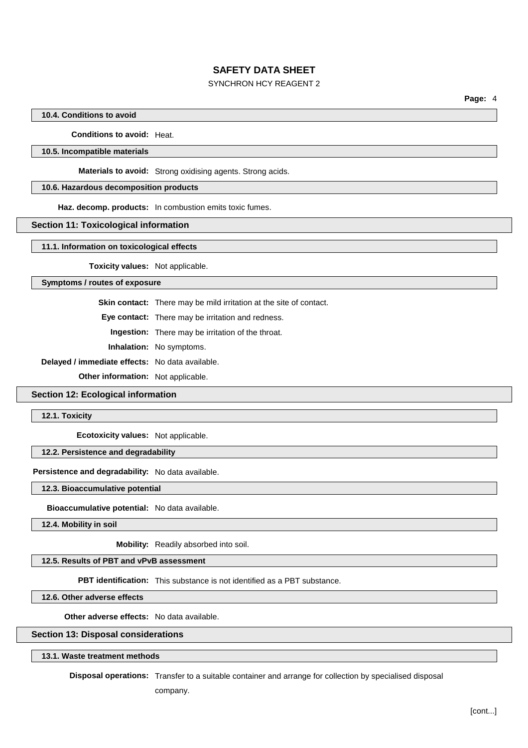## SYNCHRON HCY REAGENT 2

**Page:** 4

### **10.4. Conditions to avoid**

**Conditions to avoid:** Heat.

### **10.5. Incompatible materials**

**Materials to avoid:** Strong oxidising agents. Strong acids.

## **10.6. Hazardous decomposition products**

**Haz. decomp. products:** In combustion emits toxic fumes.

#### **Section 11: Toxicological information**

**11.1. Information on toxicological effects**

**Toxicity values:** Not applicable.

### **Symptoms / routes of exposure**

**Skin contact:** There may be mild irritation at the site of contact.

**Eye contact:** There may be irritation and redness.

**Ingestion:** There may be irritation of the throat.

**Inhalation:** No symptoms.

**Delayed / immediate effects:** No data available.

**Other information:** Not applicable.

## **Section 12: Ecological information**

**12.1. Toxicity**

**Ecotoxicity values:** Not applicable.

## **12.2. Persistence and degradability**

## **Persistence and degradability:** No data available.

**12.3. Bioaccumulative potential**

**Bioaccumulative potential:** No data available.

**12.4. Mobility in soil**

**Mobility:** Readily absorbed into soil.

# **12.5. Results of PBT and vPvB assessment**

**PBT identification:** This substance is not identified as a PBT substance.

**12.6. Other adverse effects**

**Other adverse effects:** No data available.

#### **Section 13: Disposal considerations**

### **13.1. Waste treatment methods**

**Disposal operations:** Transfer to a suitable container and arrange for collection by specialised disposal

company.